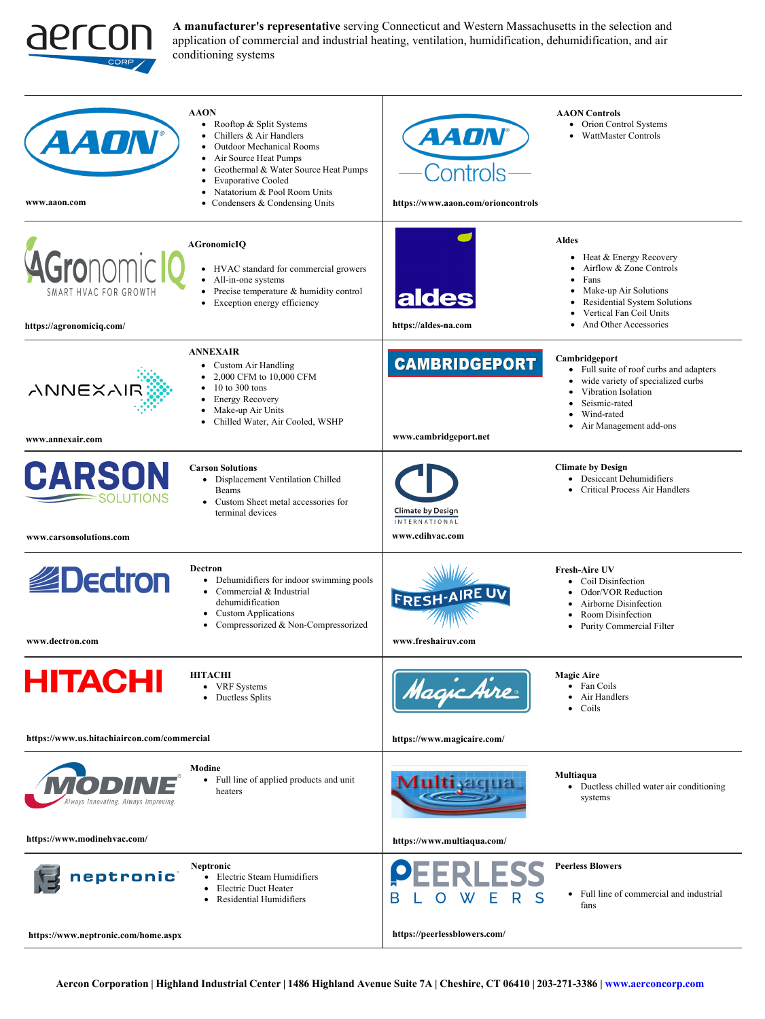

**A manufacturer's representative** serving Connecticut and Western Massachusetts in the selection and application of commercial and industrial heating, ventilation, humidification, dehumidification, and air conditioning systems

| 4 <i>AON</i><br>www.aaon.com                                          | <b>AAON</b><br>Rooftop & Split Systems<br>$\bullet$<br>Chillers & Air Handlers<br>$\bullet$<br><b>Outdoor Mechanical Rooms</b><br>$\bullet$<br>Air Source Heat Pumps<br>$\bullet$<br>Geothermal & Water Source Heat Pumps<br>$\bullet$<br><b>Evaporative Cooled</b><br>$\bullet$<br>Natatorium & Pool Room Units<br>$\bullet$<br>• Condensers & Condensing Units | <i><b>AADN</b></i><br>Controls<br>https://www.aaon.com/orioncontrols | <b>AAON</b> Controls<br>Orion Control Systems<br>$\bullet$<br>WattMaster Controls<br>٠                                                                                                                             |
|-----------------------------------------------------------------------|------------------------------------------------------------------------------------------------------------------------------------------------------------------------------------------------------------------------------------------------------------------------------------------------------------------------------------------------------------------|----------------------------------------------------------------------|--------------------------------------------------------------------------------------------------------------------------------------------------------------------------------------------------------------------|
| <b>AGronomic</b><br>SMART HVAC FOR GROWTH<br>https://agronomiciq.com/ | <b>AGronomicIQ</b><br>• HVAC standard for commercial growers<br>All-in-one systems<br>Precise temperature & humidity control<br>$\bullet$<br>Exception energy efficiency<br>$\bullet$                                                                                                                                                                            | <b>aldes</b><br>https://aldes-na.com                                 | <b>Aldes</b><br>• Heat & Energy Recovery<br>Airflow & Zone Controls<br>$\bullet$<br>Fans<br>Make-up Air Solutions<br>Residential System Solutions<br>Vertical Fan Coil Units<br>And Other Accessories<br>$\bullet$ |
| <b>ANNEXAIR</b><br>www.annexair.com                                   | <b>ANNEXAIR</b><br>• Custom Air Handling<br>2,000 CFM to 10,000 CFM<br>$10$ to $300$ tons<br>$\bullet$<br><b>Energy Recovery</b><br>$\bullet$<br>Make-up Air Units<br>Chilled Water, Air Cooled, WSHP                                                                                                                                                            | <b>CAMBRIDGEPORT</b><br>www.cambridgeport.net                        | Cambridgeport<br>• Full suite of roof curbs and adapters<br>wide variety of specialized curbs<br>٠<br>Vibration Isolation<br>Seismic-rated<br>Wind-rated<br>Air Management add-ons                                 |
| <b>CARSON</b><br>SOLUTIONS<br>www.carsonsolutions.com                 | <b>Carson Solutions</b><br>• Displacement Ventilation Chilled<br>Beams<br>• Custom Sheet metal accessories for<br>terminal devices                                                                                                                                                                                                                               | <b>Climate by Design</b><br><b>INTERNATIONAL</b><br>www.cdihvac.com  | <b>Climate by Design</b><br>• Desiccant Dehumidifiers<br>Critical Process Air Handlers                                                                                                                             |
| <b>B</b> Dectron<br>www.dectron.com                                   | Dectron<br>• Dehumidifiers for indoor swimming pools<br>• Commercial & Industrial<br>dehumidification<br>• Custom Applications<br>• Compressorized & Non-Compressorized                                                                                                                                                                                          | <b>FRESH-AIRE UV</b><br>www.freshairuv.com                           | <b>Fresh-Aire UV</b><br>Coil Disinfection<br>$\bullet$<br>Odor/VOR Reduction<br>Airborne Disinfection<br>$\bullet$<br>Room Disinfection<br>Purity Commercial Filter<br>$\bullet$                                   |
| HITACH<br>https://www.us.hitachiaircon.com/commercial                 | <b>HITACHI</b><br>• VRF Systems<br>• Ductless Splits                                                                                                                                                                                                                                                                                                             | Magic Aire<br>https://www.magicaire.com/                             | <b>Magic Aire</b><br>• Fan Coils<br>Air Handlers<br>Coils                                                                                                                                                          |
| llways Innovating. Always Improving<br>https://www.modinehvac.com/    | Modine<br>Full line of applied products and unit<br>heaters                                                                                                                                                                                                                                                                                                      | Multi siqua<br>https://www.multiaqua.com/                            | Multiaqua<br>• Ductless chilled water air conditioning<br>systems                                                                                                                                                  |
| neptronic<br>https://www.neptronic.com/home.aspx                      | Neptronic<br>Electric Steam Humidifiers<br>Electric Duct Heater<br>Residential Humidifiers                                                                                                                                                                                                                                                                       | https://peerlessblowers.com/                                         | <b>Peerless Blowers</b><br>• Full line of commercial and industrial<br>fans                                                                                                                                        |
|                                                                       |                                                                                                                                                                                                                                                                                                                                                                  |                                                                      |                                                                                                                                                                                                                    |